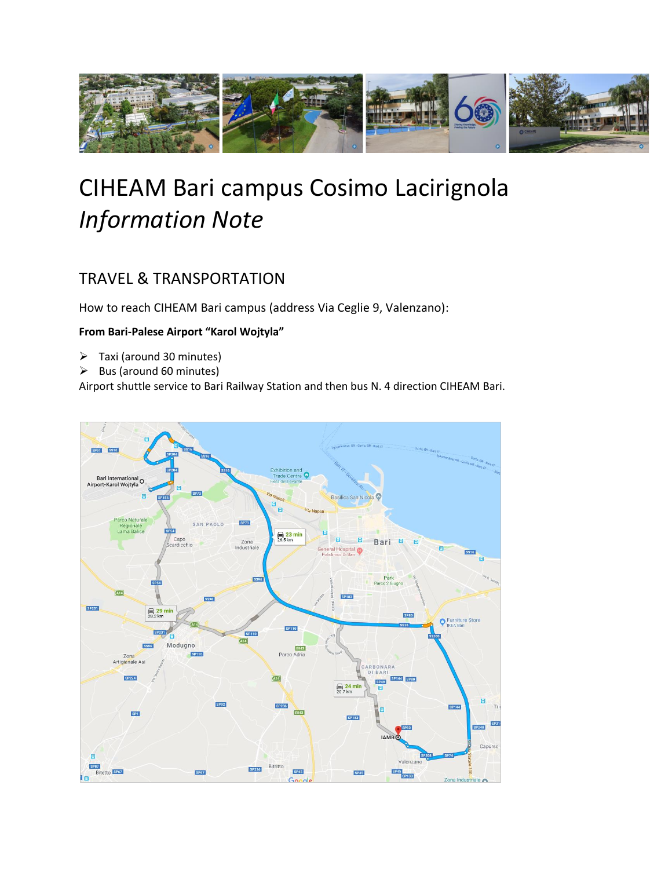

# CIHEAM Bari campus Cosimo Lacirignola *Information Note*

# TRAVEL & TRANSPORTATION

How to reach CIHEAM Bari campus (address Via Ceglie 9, Valenzano):

# **From Bari-Palese Airport "Karol Wojtyla"**

- ➢ Taxi (around 30 minutes)
- $\triangleright$  Bus (around 60 minutes)

Airport shuttle service to Bari Railway Station and then bus N. 4 direction CIHEAM Bari.

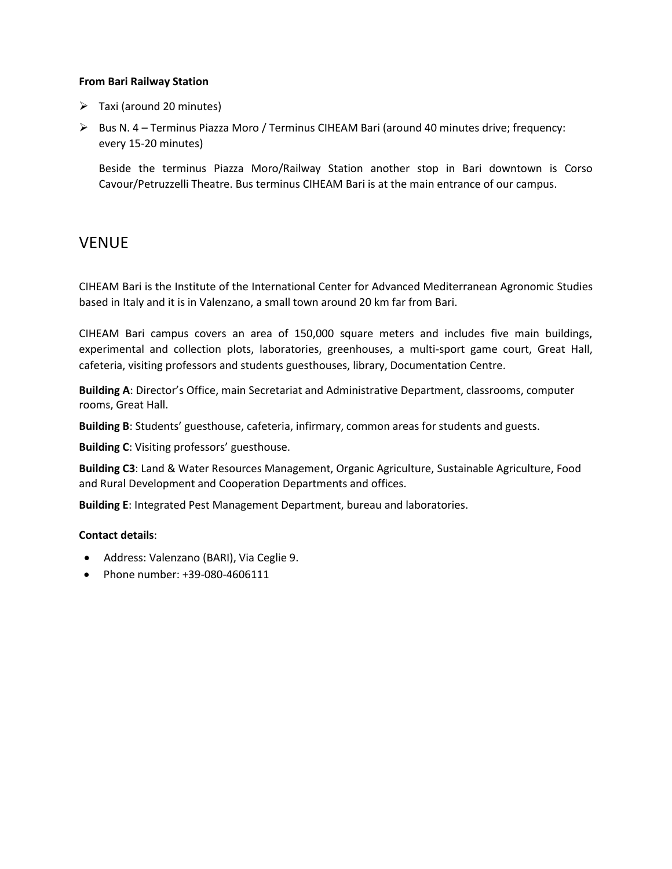#### **From Bari Railway Station**

- $\triangleright$  Taxi (around 20 minutes)
- $\triangleright$  Bus N. 4 Terminus Piazza Moro / Terminus CIHEAM Bari (around 40 minutes drive; frequency: every 15-20 minutes)

Beside the terminus Piazza Moro/Railway Station another stop in Bari downtown is Corso Cavour/Petruzzelli Theatre. Bus terminus CIHEAM Bari is at the main entrance of our campus.

# VENUE

CIHEAM Bari is the Institute of the International Center for Advanced Mediterranean Agronomic Studies based in Italy and it is in Valenzano, a small town around 20 km far from Bari.

CIHEAM Bari campus covers an area of 150,000 square meters and includes five main buildings, experimental and collection plots, laboratories, greenhouses, a multi-sport game court, Great Hall, cafeteria, visiting professors and students guesthouses, library, Documentation Centre.

**Building A**: Director's Office, main Secretariat and Administrative Department, classrooms, computer rooms, Great Hall.

**Building B**: Students' guesthouse, cafeteria, infirmary, common areas for students and guests.

**Building C**: Visiting professors' guesthouse.

**Building C3**: Land & Water Resources Management, Organic Agriculture, Sustainable Agriculture, Food and Rural Development and Cooperation Departments and offices.

**Building E**: Integrated Pest Management Department, bureau and laboratories.

#### **Contact details**:

- Address: Valenzano (BARI), Via Ceglie 9.
- Phone number: +39-080-4606111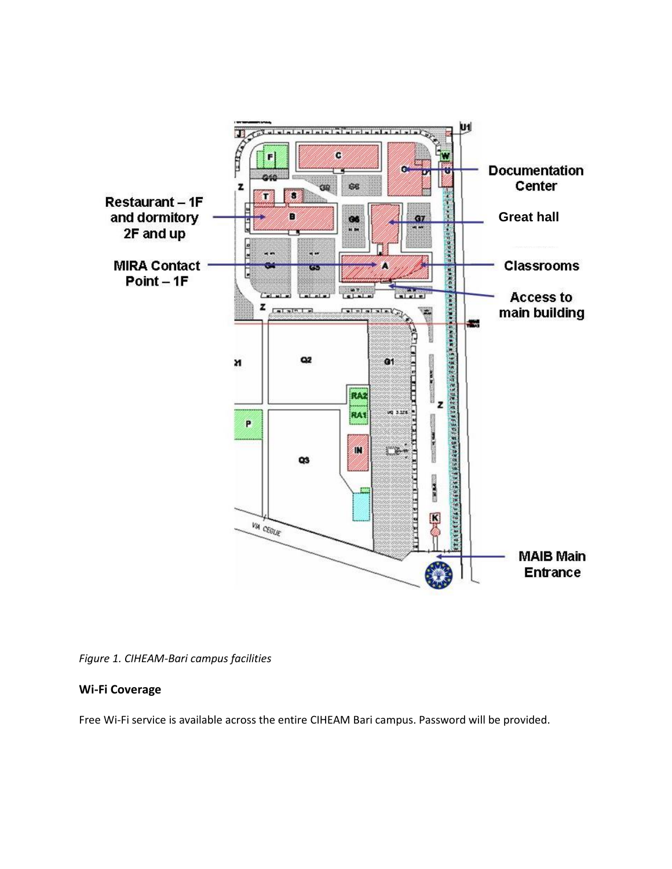

*Figure 1. CIHEAM-Bari campus facilities*

# **Wi-Fi Coverage**

Free Wi-Fi service is available across the entire CIHEAM Bari campus. Password will be provided.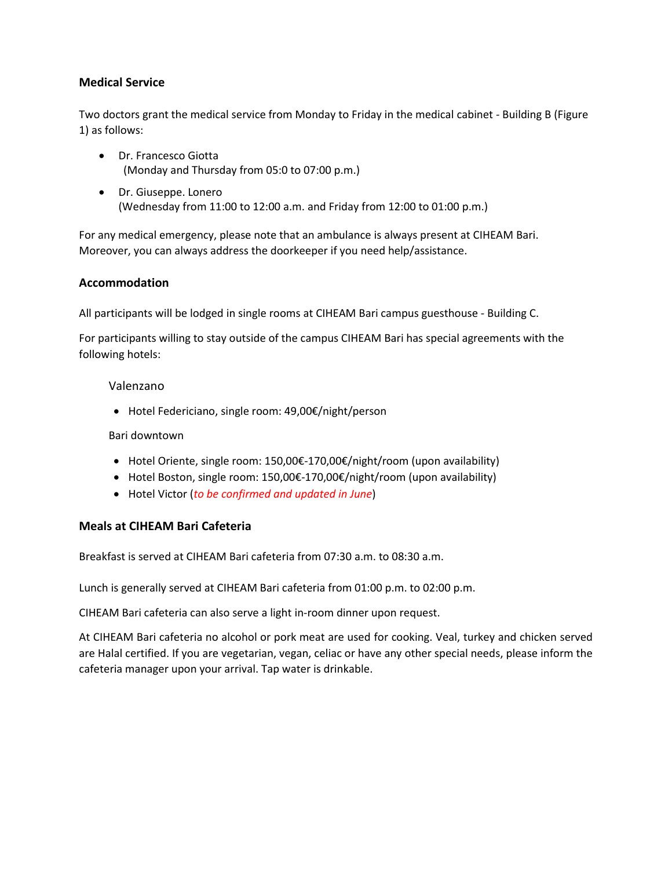# **Medical Service**

Two doctors grant the medical service from Monday to Friday in the medical cabinet - Building B (Figure 1) as follows:

- Dr. Francesco Giotta (Monday and Thursday from 05:0 to 07:00 p.m.)
- Dr. Giuseppe. Lonero (Wednesday from 11:00 to 12:00 a.m. and Friday from 12:00 to 01:00 p.m.)

For any medical emergency, please note that an ambulance is always present at CIHEAM Bari. Moreover, you can always address the doorkeeper if you need help/assistance.

# **Accommodation**

All participants will be lodged in single rooms at CIHEAM Bari campus guesthouse - Building C.

For participants willing to stay outside of the campus CIHEAM Bari has special agreements with the following hotels:

#### Valenzano

• Hotel Federiciano, single room: 49,00€/night/person

Bari downtown

- Hotel Oriente, single room: 150,00€-170,00€/night/room (upon availability)
- Hotel Boston, single room: 150,00€-170,00€/night/room (upon availability)
- Hotel Victor (*to be confirmed and updated in June*)

# **Meals at CIHEAM Bari Cafeteria**

Breakfast is served at CIHEAM Bari cafeteria from 07:30 a.m. to 08:30 a.m.

Lunch is generally served at CIHEAM Bari cafeteria from 01:00 p.m. to 02:00 p.m.

CIHEAM Bari cafeteria can also serve a light in-room dinner upon request.

At CIHEAM Bari cafeteria no alcohol or pork meat are used for cooking. Veal, turkey and chicken served are Halal certified. If you are vegetarian, vegan, celiac or have any other special needs, please inform the cafeteria manager upon your arrival. Tap water is drinkable.